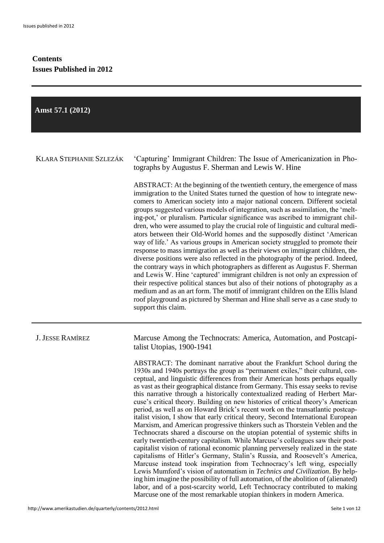# **Contents Issues Published in 2012**

| Amst 57.1 (2012)               |                                                                                                                                                                                                                                                                                                                                                                                                                                                                                                                                                                                                                                                                                                                                                                                                                                                                                                                                                                                                                                                                                                                                                                                                                                                                                                                                                                                                                                                                                                                                                                                                         |
|--------------------------------|---------------------------------------------------------------------------------------------------------------------------------------------------------------------------------------------------------------------------------------------------------------------------------------------------------------------------------------------------------------------------------------------------------------------------------------------------------------------------------------------------------------------------------------------------------------------------------------------------------------------------------------------------------------------------------------------------------------------------------------------------------------------------------------------------------------------------------------------------------------------------------------------------------------------------------------------------------------------------------------------------------------------------------------------------------------------------------------------------------------------------------------------------------------------------------------------------------------------------------------------------------------------------------------------------------------------------------------------------------------------------------------------------------------------------------------------------------------------------------------------------------------------------------------------------------------------------------------------------------|
|                                |                                                                                                                                                                                                                                                                                                                                                                                                                                                                                                                                                                                                                                                                                                                                                                                                                                                                                                                                                                                                                                                                                                                                                                                                                                                                                                                                                                                                                                                                                                                                                                                                         |
| <b>KLARA STEPHANIE SZLEZÁK</b> | 'Capturing' Immigrant Children: The Issue of Americanization in Pho-<br>tographs by Augustus F. Sherman and Lewis W. Hine                                                                                                                                                                                                                                                                                                                                                                                                                                                                                                                                                                                                                                                                                                                                                                                                                                                                                                                                                                                                                                                                                                                                                                                                                                                                                                                                                                                                                                                                               |
|                                | ABSTRACT: At the beginning of the twentieth century, the emergence of mass<br>immigration to the United States turned the question of how to integrate new-<br>comers to American society into a major national concern. Different societal<br>groups suggested various models of integration, such as assimilation, the 'melt-<br>ing-pot,' or pluralism. Particular significance was ascribed to immigrant chil-<br>dren, who were assumed to play the crucial role of linguistic and cultural medi-<br>ators between their Old-World homes and the supposedly distinct 'American<br>way of life.' As various groups in American society struggled to promote their<br>response to mass immigration as well as their views on immigrant children, the<br>diverse positions were also reflected in the photography of the period. Indeed,<br>the contrary ways in which photographers as different as Augustus F. Sherman<br>and Lewis W. Hine 'captured' immigrant children is not only an expression of<br>their respective political stances but also of their notions of photography as a<br>medium and as an art form. The motif of immigrant children on the Ellis Island<br>roof playground as pictured by Sherman and Hine shall serve as a case study to<br>support this claim.                                                                                                                                                                                                                                                                                                               |
| <b>J. JESSE RAMÍREZ</b>        | Marcuse Among the Technocrats: America, Automation, and Postcapi-<br>talist Utopias, 1900-1941<br>ABSTRACT: The dominant narrative about the Frankfurt School during the<br>1930s and 1940s portrays the group as "permanent exiles," their cultural, con-<br>ceptual, and linguistic differences from their American hosts perhaps equally<br>as vast as their geographical distance from Germany. This essay seeks to revise<br>this narrative through a historically contextualized reading of Herbert Mar-<br>cuse's critical theory. Building on new histories of critical theory's American<br>period, as well as on Howard Brick's recent work on the transatlantic postcap-<br>italist vision, I show that early critical theory, Second International European<br>Marxism, and American progressive thinkers such as Thorstein Veblen and the<br>Technocrats shared a discourse on the utopian potential of systemic shifts in<br>early twentieth-century capitalism. While Marcuse's colleagues saw their post-<br>capitalist vision of rational economic planning perversely realized in the state<br>capitalisms of Hitler's Germany, Stalin's Russia, and Roosevelt's America,<br>Marcuse instead took inspiration from Technocracy's left wing, especially<br>Lewis Mumford's vision of automatism in Technics and Civilization. By help-<br>ing him imagine the possibility of full automation, of the abolition of (alienated)<br>labor, and of a post-scarcity world, Left Technocracy contributed to making<br>Marcuse one of the most remarkable utopian thinkers in modern America. |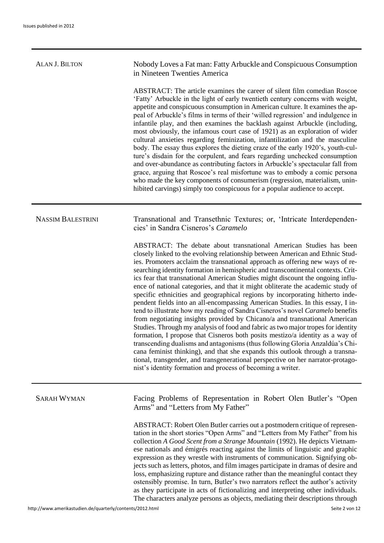| <b>ALAN J. BILTON</b>    | Nobody Loves a Fat man: Fatty Arbuckle and Conspicuous Consumption<br>in Nineteen Twenties America                                                                                                                                                                                                                                                                                                                                                                                                                                                                                                                                                                                                                                                                                                                                                                                                                                                                                                                                                                                                                                                                                                                                                                                                                       |
|--------------------------|--------------------------------------------------------------------------------------------------------------------------------------------------------------------------------------------------------------------------------------------------------------------------------------------------------------------------------------------------------------------------------------------------------------------------------------------------------------------------------------------------------------------------------------------------------------------------------------------------------------------------------------------------------------------------------------------------------------------------------------------------------------------------------------------------------------------------------------------------------------------------------------------------------------------------------------------------------------------------------------------------------------------------------------------------------------------------------------------------------------------------------------------------------------------------------------------------------------------------------------------------------------------------------------------------------------------------|
|                          | ABSTRACT: The article examines the career of silent film comedian Roscoe<br>'Fatty' Arbuckle in the light of early twentieth century concerns with weight,<br>appetite and conspicuous consumption in American culture. It examines the ap-<br>peal of Arbuckle's films in terms of their 'willed regression' and indulgence in<br>infantile play, and then examines the backlash against Arbuckle (including,<br>most obviously, the infamous court case of 1921) as an exploration of wider<br>cultural anxieties regarding feminization, infantilization and the masculine<br>body. The essay thus explores the dieting craze of the early 1920's, youth-cul-<br>ture's disdain for the corpulent, and fears regarding unchecked consumption<br>and over-abundance as contributing factors in Arbuckle's spectacular fall from<br>grace, arguing that Roscoe's real misfortune was to embody a comic persona<br>who made the key components of consumerism (regression, materialism, unin-<br>hibited carvings) simply too conspicuous for a popular audience to accept.                                                                                                                                                                                                                                              |
| <b>NASSIM BALESTRINI</b> | Transnational and Transethnic Textures; or, 'Intricate Interdependen-<br>cies' in Sandra Cisneros's Caramelo                                                                                                                                                                                                                                                                                                                                                                                                                                                                                                                                                                                                                                                                                                                                                                                                                                                                                                                                                                                                                                                                                                                                                                                                             |
|                          | ABSTRACT: The debate about transnational American Studies has been<br>closely linked to the evolving relationship between American and Ethnic Stud-<br>ies. Promoters acclaim the transnational approach as offering new ways of re-<br>searching identity formation in hemispheric and transcontinental contexts. Crit-<br>ics fear that transnational American Studies might discount the ongoing influ-<br>ence of national categories, and that it might obliterate the academic study of<br>specific ethnicities and geographical regions by incorporating hitherto inde-<br>pendent fields into an all-encompassing American Studies. In this essay, I in-<br>tend to illustrate how my reading of Sandra Cisneros's novel Caramelo benefits<br>from negotiating insights provided by Chicano/a and transnational American<br>Studies. Through my analysis of food and fabric as two major tropes for identity<br>formation, I propose that Cisneros both posits mestizo/a identity as a way of<br>transcending dualisms and antagonisms (thus following Gloria Anzaldúa's Chi-<br>cana feminist thinking), and that she expands this outlook through a transna-<br>tional, transgender, and transgenerational perspective on her narrator-protago-<br>nist's identity formation and process of becoming a writer. |
| <b>SARAH WYMAN</b>       | Facing Problems of Representation in Robert Olen Butler's "Open<br>Arms" and "Letters from My Father"                                                                                                                                                                                                                                                                                                                                                                                                                                                                                                                                                                                                                                                                                                                                                                                                                                                                                                                                                                                                                                                                                                                                                                                                                    |
|                          | ABSTRACT: Robert Olen Butler carries out a postmodern critique of represen-<br>tation in the short stories "Open Arms" and "Letters from My Father" from his<br>collection A Good Scent from a Strange Mountain (1992). He depicts Vietnam-<br>ese nationals and émigrés reacting against the limits of linguistic and graphic<br>expression as they wrestle with instruments of communication. Signifying ob-<br>jects such as letters, photos, and film images participate in dramas of desire and<br>loss, emphasizing rupture and distance rather than the meaningful contact they<br>ostensibly promise. In turn, Butler's two narrators reflect the author's activity<br>as they participate in acts of fictionalizing and interpreting other individuals.<br>The characters analyze persons as objects, mediating their descriptions through                                                                                                                                                                                                                                                                                                                                                                                                                                                                      |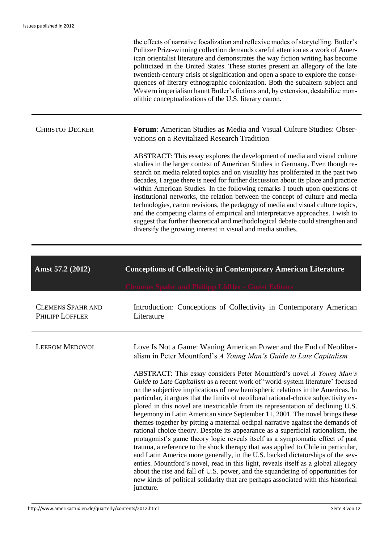the effects of narrative focalization and reflexive modes of storytelling. Butler's Pulitzer Prize-winning collection demands careful attention as a work of American orientalist literature and demonstrates the way fiction writing has become politicized in the United States. These stories present an allegory of the late twentieth-century crisis of signification and open a space to explore the consequences of literary ethnographic colonization. Both the subaltern subject and Western imperialism haunt Butler's fictions and, by extension, destabilize monolithic conceptualizations of the U.S. literary canon.

| <b>CHRISTOF DECKER</b> | <b>Forum:</b> American Studies as Media and Visual Culture Studies: Obser-<br>vations on a Revitalized Research Tradition                                                                                                                                                                                                                                                                                                                                                                                                                                                                                                                                                                                                                                                                                                   |
|------------------------|-----------------------------------------------------------------------------------------------------------------------------------------------------------------------------------------------------------------------------------------------------------------------------------------------------------------------------------------------------------------------------------------------------------------------------------------------------------------------------------------------------------------------------------------------------------------------------------------------------------------------------------------------------------------------------------------------------------------------------------------------------------------------------------------------------------------------------|
|                        | ABSTRACT: This essay explores the development of media and visual culture<br>studies in the larger context of American Studies in Germany. Even though re-<br>search on media related topics and on visuality has proliferated in the past two<br>decades, I argue there is need for further discussion about its place and practice<br>within American Studies. In the following remarks I touch upon questions of<br>institutional networks, the relation between the concept of culture and media<br>technologies, canon revisions, the pedagogy of media and visual culture topics,<br>and the competing claims of empirical and interpretative approaches. I wish to<br>suggest that further theoretical and methodological debate could strengthen and<br>diversify the growing interest in visual and media studies. |

| Amst 57.2 (2012)                            | <b>Conceptions of Collectivity in Contemporary American Literature</b>                                                                                                                                                                                                                                                                                                                                                                                                                                                                                                                                                                                                                                                                                                                                                                                                                                                                                                                                                                                                                                                                                                                                                                                                                                                                                    |
|---------------------------------------------|-----------------------------------------------------------------------------------------------------------------------------------------------------------------------------------------------------------------------------------------------------------------------------------------------------------------------------------------------------------------------------------------------------------------------------------------------------------------------------------------------------------------------------------------------------------------------------------------------------------------------------------------------------------------------------------------------------------------------------------------------------------------------------------------------------------------------------------------------------------------------------------------------------------------------------------------------------------------------------------------------------------------------------------------------------------------------------------------------------------------------------------------------------------------------------------------------------------------------------------------------------------------------------------------------------------------------------------------------------------|
| <b>CLEMENS SPAHR AND</b><br>PHILIPP LÖFFLER | Introduction: Conceptions of Collectivity in Contemporary American<br>Literature                                                                                                                                                                                                                                                                                                                                                                                                                                                                                                                                                                                                                                                                                                                                                                                                                                                                                                                                                                                                                                                                                                                                                                                                                                                                          |
| <b>LEEROM MEDOVOI</b>                       | Love Is Not a Game: Waning American Power and the End of Neoliber-<br>alism in Peter Mountford's A Young Man's Guide to Late Capitalism<br>ABSTRACT: This essay considers Peter Mountford's novel A Young Man's<br>Guide to Late Capitalism as a recent work of 'world-system literature' focused<br>on the subjective implications of new hemispheric relations in the Americas. In<br>particular, it argues that the limits of neoliberal rational-choice subjectivity ex-<br>plored in this novel are inextricable from its representation of declining U.S.<br>hegemony in Latin American since September 11, 2001. The novel brings these<br>themes together by pitting a maternal oedipal narrative against the demands of<br>rational choice theory. Despite its appearance as a superficial rationalism, the<br>protagonist's game theory logic reveals itself as a symptomatic effect of past<br>trauma, a reference to the shock therapy that was applied to Chile in particular,<br>and Latin America more generally, in the U.S. backed dictatorships of the sev-<br>enties. Mountford's novel, read in this light, reveals itself as a global allegory<br>about the rise and fall of U.S. power, and the squandering of opportunities for<br>new kinds of political solidarity that are perhaps associated with this historical<br>juncture. |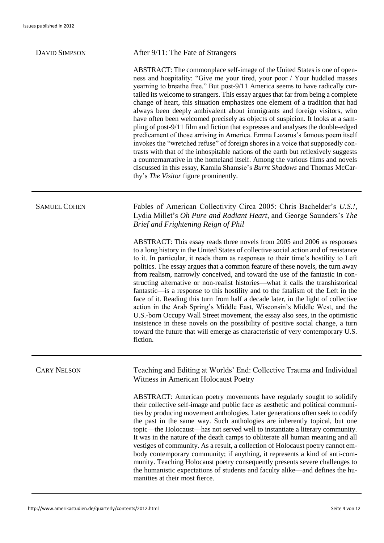### DAVID SIMPSON After 9/11: The Fate of Strangers

ABSTRACT: The commonplace self-image of the United States is one of openness and hospitality: "Give me your tired, your poor / Your huddled masses yearning to breathe free." But post-9/11 America seems to have radically curtailed its welcome to strangers. This essay argues that far from being a complete change of heart, this situation emphasizes one element of a tradition that had always been deeply ambivalent about immigrants and foreign visitors, who have often been welcomed precisely as objects of suspicion. It looks at a sampling of post-9/11 film and fiction that expresses and analyses the double-edged predicament of those arriving in America. Emma Lazarus's famous poem itself invokes the "wretched refuse" of foreign shores in a voice that supposedly contrasts with that of the inhospitable nations of the earth but reflexively suggests a counternarrative in the homeland itself. Among the various films and novels discussed in this essay, Kamila Shamsie's *Burnt Shadows* and Thomas McCarthy's *The Visitor* figure prominently.

SAMUEL COHEN Fables of American Collectivity Circa 2005: Chris Bachelder's *U.S.!*, Lydia Millet's *Oh Pure and Radiant Heart*, and George Saunders's *The Brief and Frightening Reign of Phil*

> ABSTRACT: This essay reads three novels from 2005 and 2006 as responses to a long history in the United States of collective social action and of resistance to it. In particular, it reads them as responses to their time's hostility to Left politics. The essay argues that a common feature of these novels, the turn away from realism, narrowly conceived, and toward the use of the fantastic in constructing alternative or non-realist histories—what it calls the transhistorical fantastic—is a response to this hostility and to the fatalism of the Left in the face of it. Reading this turn from half a decade later, in the light of collective action in the Arab Spring's Middle East, Wisconsin's Middle West, and the U.S.-born Occupy Wall Street movement, the essay also sees, in the optimistic insistence in these novels on the possibility of positive social change, a turn toward the future that will emerge as characteristic of very contemporary U.S. fiction.

CARY NELSON Teaching and Editing at Worlds' End: Collective Trauma and Individual Witness in American Holocaust Poetry

> ABSTRACT: American poetry movements have regularly sought to solidify their collective self-image and public face as aesthetic and political communities by producing movement anthologies. Later generations often seek to codify the past in the same way. Such anthologies are inherently topical, but one topic—the Holocaust—has not served well to instantiate a literary community. It was in the nature of the death camps to obliterate all human meaning and all vestiges of community. As a result, a collection of Holocaust poetry cannot embody contemporary community; if anything, it represents a kind of anti-community. Teaching Holocaust poetry consequently presents severe challenges to the humanistic expectations of students and faculty alike—and defines the humanities at their most fierce.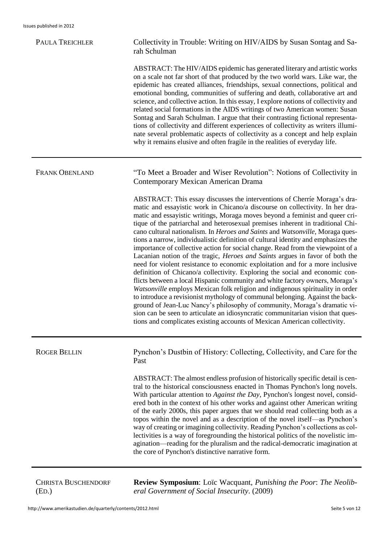| <b>PAULA TREICHLER</b> | Collectivity in Trouble: Writing on HIV/AIDS by Susan Sontag and Sa-<br>rah Schulman                                                                                                                                                                                                                                                                                                                                                                                                                                                                                                                                                                                                                                                                                                                                                                                                                                                                                                                                                                                                                                                                                                                                                                                                                                                            |
|------------------------|-------------------------------------------------------------------------------------------------------------------------------------------------------------------------------------------------------------------------------------------------------------------------------------------------------------------------------------------------------------------------------------------------------------------------------------------------------------------------------------------------------------------------------------------------------------------------------------------------------------------------------------------------------------------------------------------------------------------------------------------------------------------------------------------------------------------------------------------------------------------------------------------------------------------------------------------------------------------------------------------------------------------------------------------------------------------------------------------------------------------------------------------------------------------------------------------------------------------------------------------------------------------------------------------------------------------------------------------------|
|                        | ABSTRACT: The HIV/AIDS epidemic has generated literary and artistic works<br>on a scale not far short of that produced by the two world wars. Like war, the<br>epidemic has created alliances, friendships, sexual connections, political and<br>emotional bonding, communities of suffering and death, collaborative art and<br>science, and collective action. In this essay, I explore notions of collectivity and<br>related social formations in the AIDS writings of two American women: Susan<br>Sontag and Sarah Schulman. I argue that their contrasting fictional representa-<br>tions of collectivity and different experiences of collectivity as writers illumi-<br>nate several problematic aspects of collectivity as a concept and help explain<br>why it remains elusive and often fragile in the realities of everyday life.                                                                                                                                                                                                                                                                                                                                                                                                                                                                                                  |
| <b>FRANK OBENLAND</b>  | "To Meet a Broader and Wiser Revolution": Notions of Collectivity in<br>Contemporary Mexican American Drama                                                                                                                                                                                                                                                                                                                                                                                                                                                                                                                                                                                                                                                                                                                                                                                                                                                                                                                                                                                                                                                                                                                                                                                                                                     |
|                        | ABSTRACT: This essay discusses the interventions of Cherríe Moraga's dra-<br>matic and essayistic work in Chicano/a discourse on collectivity. In her dra-<br>matic and essayistic writings, Moraga moves beyond a feminist and queer cri-<br>tique of the patriarchal and heterosexual premises inherent in traditional Chi-<br>cano cultural nationalism. In Heroes and Saints and Watsonville, Moraga ques-<br>tions a narrow, individualistic definition of cultural identity and emphasizes the<br>importance of collective action for social change. Read from the viewpoint of a<br>Lacanian notion of the tragic, <i>Heroes and Saints</i> argues in favor of both the<br>need for violent resistance to economic exploitation and for a more inclusive<br>definition of Chicano/a collectivity. Exploring the social and economic con-<br>flicts between a local Hispanic community and white factory owners, Moraga's<br>Watsonville employs Mexican folk religion and indigenous spirituality in order<br>to introduce a revisionist mythology of communal belonging. Against the back-<br>ground of Jean-Luc Nancy's philosophy of community, Moraga's dramatic vi-<br>sion can be seen to articulate an idiosyncratic communitarian vision that ques-<br>tions and complicates existing accounts of Mexican American collectivity. |
| <b>ROGER BELLIN</b>    | Pynchon's Dustbin of History: Collecting, Collectivity, and Care for the<br>Past                                                                                                                                                                                                                                                                                                                                                                                                                                                                                                                                                                                                                                                                                                                                                                                                                                                                                                                                                                                                                                                                                                                                                                                                                                                                |
|                        | ABSTRACT: The almost endless profusion of historically specific detail is cen-<br>tral to the historical consciousness enacted in Thomas Pynchon's long novels.<br>With particular attention to Against the Day, Pynchon's longest novel, consid-<br>ered both in the context of his other works and against other American writing<br>of the early 2000s, this paper argues that we should read collecting both as a<br>topos within the novel and as a description of the novel itself—as Pynchon's<br>way of creating or imagining collectivity. Reading Pynchon's collections as col-<br>lectivities is a way of foregrounding the historical politics of the novelistic im-<br>agination—reading for the pluralism and the radical-democratic imagination at<br>the core of Pynchon's distinctive narrative form.                                                                                                                                                                                                                                                                                                                                                                                                                                                                                                                          |

CHRISTA BUSCHENDORF (ED.)

**Review Symposium**: Loïc Wacquant, *Punishing the Poor*: *The Neoliberal Government of Social Insecurity*. (2009)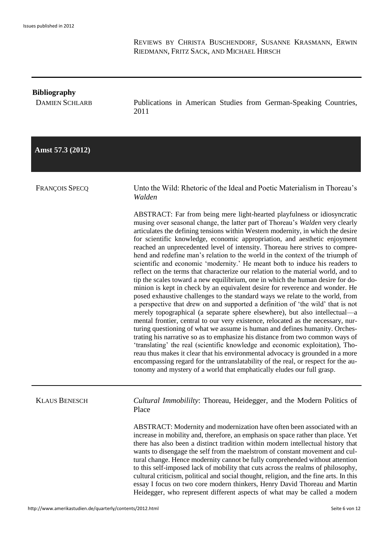REVIEWS BY CHRISTA BUSCHENDORF, SUSANNE KRASMANN, ERWIN RIEDMANN, FRITZ SACK, AND MICHAEL HIRSCH

### **Bibliography**

DAMIEN SCHLARB Publications in American Studies from German-Speaking Countries, 2011

## **Amst 57.3 (2012)**

FRANÇOIS SPECQ Unto the Wild: Rhetoric of the Ideal and Poetic Materialism in Thoreau's *Walden*

> ABSTRACT: Far from being mere light-hearted playfulness or idiosyncratic musing over seasonal change, the latter part of Thoreau's *Walden* very clearly articulates the defining tensions within Western modernity, in which the desire for scientific knowledge, economic appropriation, and aesthetic enjoyment reached an unprecedented level of intensity. Thoreau here strives to comprehend and redefine man's relation to the world in the context of the triumph of scientific and economic 'modernity.' He meant both to induce his readers to reflect on the terms that characterize our relation to the material world, and to tip the scales toward a new equilibrium, one in which the human desire for dominion is kept in check by an equivalent desire for reverence and wonder. He posed exhaustive challenges to the standard ways we relate to the world, from a perspective that drew on and supported a definition of 'the wild' that is not merely topographical (a separate sphere elsewhere), but also intellectual—a mental frontier, central to our very existence, relocated as the necessary, nurturing questioning of what we assume is human and defines humanity. Orchestrating his narrative so as to emphasize his distance from two common ways of 'translating' the real (scientific knowledge and economic exploitation), Thoreau thus makes it clear that his environmental advocacy is grounded in a more encompassing regard for the untranslatability of the real, or respect for the autonomy and mystery of a world that emphatically eludes our full grasp.

KLAUS BENESCH *Cultural Immobililty*: Thoreau, Heidegger, and the Modern Politics of Place

> ABSTRACT: Modernity and modernization have often been associated with an increase in mobility and, therefore, an emphasis on space rather than place. Yet there has also been a distinct tradition within modern intellectual history that wants to disengage the self from the maelstrom of constant movement and cultural change. Hence modernity cannot be fully comprehended without attention to this self-imposed lack of mobility that cuts across the realms of philosophy, cultural criticism, political and social thought, religion, and the fine arts. In this essay I focus on two core modern thinkers, Henry David Thoreau and Martin Heidegger, who represent different aspects of what may be called a modern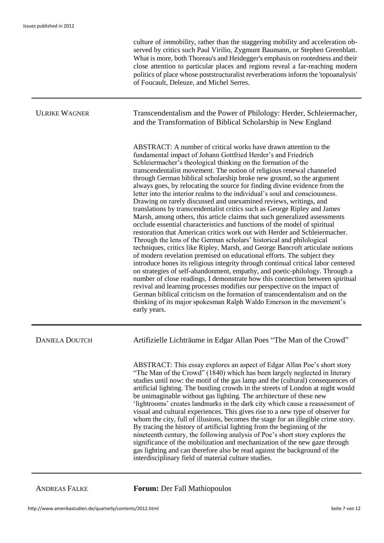|                       | culture of <i>immobility</i> , rather than the staggering mobility and acceleration ob-<br>served by critics such Paul Virilio, Zygmunt Baumann, or Stephen Greenblatt.<br>What is more, both Thoreau's and Heidegger's emphasis on rootedness and their<br>close attention to particular places and regions reveal a far-reaching modern<br>politics of place whose poststructuralist reverberations inform the 'topoanalysis'<br>of Foucault, Deleuze, and Michel Serres.                                                                                                                                                                                                                                                                                                                                                                                                                                                                                                                                                                                                                                                                                                                                                                                                                                                                                                                                                                                                                                                                                                                                                                              |
|-----------------------|----------------------------------------------------------------------------------------------------------------------------------------------------------------------------------------------------------------------------------------------------------------------------------------------------------------------------------------------------------------------------------------------------------------------------------------------------------------------------------------------------------------------------------------------------------------------------------------------------------------------------------------------------------------------------------------------------------------------------------------------------------------------------------------------------------------------------------------------------------------------------------------------------------------------------------------------------------------------------------------------------------------------------------------------------------------------------------------------------------------------------------------------------------------------------------------------------------------------------------------------------------------------------------------------------------------------------------------------------------------------------------------------------------------------------------------------------------------------------------------------------------------------------------------------------------------------------------------------------------------------------------------------------------|
| <b>ULRIKE WAGNER</b>  | Transcendentalism and the Power of Philology: Herder, Schleiermacher,<br>and the Transformation of Biblical Scholarship in New England                                                                                                                                                                                                                                                                                                                                                                                                                                                                                                                                                                                                                                                                                                                                                                                                                                                                                                                                                                                                                                                                                                                                                                                                                                                                                                                                                                                                                                                                                                                   |
|                       | ABSTRACT: A number of critical works have drawn attention to the<br>fundamental impact of Johann Gottfried Herder's and Friedrich<br>Schleiermacher's theological thinking on the formation of the<br>transcendentalist movement. The notion of religious renewal channeled<br>through German biblical scholarship broke new ground, so the argument<br>always goes, by relocating the source for finding divine evidence from the<br>letter into the interior realms to the individual's soul and consciousness.<br>Drawing on rarely discussed and unexamined reviews, writings, and<br>translations by transcendentalist critics such as George Ripley and James<br>Marsh, among others, this article claims that such generalized assessments<br>occlude essential characteristics and functions of the model of spiritual<br>restoration that American critics work out with Herder and Schleiermacher.<br>Through the lens of the German scholars' historical and philological<br>techniques, critics like Ripley, Marsh, and George Bancroft articulate notions<br>of modern revelation premised on educational efforts. The subject they<br>introduce hones its religious integrity through continual critical labor centered<br>on strategies of self-abandonment, empathy, and poetic-philology. Through a<br>number of close readings, I demonstrate how this connection between spiritual<br>revival and learning processes modifies our perspective on the impact of<br>German biblical criticism on the formation of transcendentalism and on the<br>thinking of its major spokesman Ralph Waldo Emerson in the movement's<br>early years. |
| <b>DANIELA DOUTCH</b> | Artifizielle Lichträume in Edgar Allan Poes "The Man of the Crowd"                                                                                                                                                                                                                                                                                                                                                                                                                                                                                                                                                                                                                                                                                                                                                                                                                                                                                                                                                                                                                                                                                                                                                                                                                                                                                                                                                                                                                                                                                                                                                                                       |
|                       | ABSTRACT: This essay explores an aspect of Edgar Allan Poe's short story<br>"The Man of the Crowd" (1840) which has been largely neglected in literary<br>studies until now: the motif of the gas lamp and the (cultural) consequences of<br>artificial lighting. The bustling crowds in the streets of London at night would<br>be unimaginable without gas lighting. The architecture of these new<br>'lightrooms' creates landmarks in the dark city which cause a reassessment of<br>visual and cultural experiences. This gives rise to a new type of observer for<br>whom the city, full of illusions, becomes the stage for an illegible crime story.<br>By tracing the history of artificial lighting from the beginning of the<br>nineteenth century, the following analysis of Poe's short story explores the<br>significance of the mobilization and mechanization of the new gaze through<br>gas lighting and can therefore also be read against the background of the<br>interdisciplinary field of material culture studies.                                                                                                                                                                                                                                                                                                                                                                                                                                                                                                                                                                                                               |

ANDREAS FALKE **Forum:** Der Fall Mathiopoulos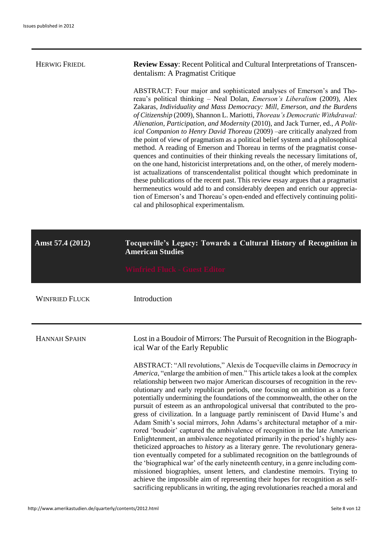| <b>HERWIG FRIEDL</b>  | <b>Review Essay:</b> Recent Political and Cultural Interpretations of Transcen-<br>dentalism: A Pragmatist Critique                                                                                                                                                                                                                                                                                                                                                                                                                                                                                                                                                                                                                                                                                                                                                                                                                                                                                                                                                                                                                                                                                                |
|-----------------------|--------------------------------------------------------------------------------------------------------------------------------------------------------------------------------------------------------------------------------------------------------------------------------------------------------------------------------------------------------------------------------------------------------------------------------------------------------------------------------------------------------------------------------------------------------------------------------------------------------------------------------------------------------------------------------------------------------------------------------------------------------------------------------------------------------------------------------------------------------------------------------------------------------------------------------------------------------------------------------------------------------------------------------------------------------------------------------------------------------------------------------------------------------------------------------------------------------------------|
|                       | ABSTRACT: Four major and sophisticated analyses of Emerson's and Tho-<br>reau's political thinking - Neal Dolan, <i>Emerson's Liberalism</i> (2009), Alex<br>Zakaras, Individuality and Mass Democracy: Mill, Emerson, and the Burdens<br>of Citizenship (2009), Shannon L. Mariotti, Thoreau's Democratic Withdrawal:<br>Alienation, Participation, and Modernity (2010), and Jack Turner, ed., A Polit-<br>ical Companion to Henry David Thoreau (2009) -are critically analyzed from<br>the point of view of pragmatism as a political belief system and a philosophical<br>method. A reading of Emerson and Thoreau in terms of the pragmatist conse-<br>quences and continuities of their thinking reveals the necessary limitations of,<br>on the one hand, historicist interpretations and, on the other, of merely modern-<br>ist actualizations of transcendentalist political thought which predominate in<br>these publications of the recent past. This review essay argues that a pragmatist<br>hermeneutics would add to and considerably deepen and enrich our apprecia-<br>tion of Emerson's and Thoreau's open-ended and effectively continuing politi-<br>cal and philosophical experimentalism. |
| Amst 57.4 (2012)      | Tocqueville's Legacy: Towards a Cultural History of Recognition in<br><b>American Studies</b>                                                                                                                                                                                                                                                                                                                                                                                                                                                                                                                                                                                                                                                                                                                                                                                                                                                                                                                                                                                                                                                                                                                      |
|                       | <b>Winfried Fluck - Guest Editor</b>                                                                                                                                                                                                                                                                                                                                                                                                                                                                                                                                                                                                                                                                                                                                                                                                                                                                                                                                                                                                                                                                                                                                                                               |
| <b>WINFRIED FLUCK</b> | Introduction                                                                                                                                                                                                                                                                                                                                                                                                                                                                                                                                                                                                                                                                                                                                                                                                                                                                                                                                                                                                                                                                                                                                                                                                       |
| <b>HANNAH SPAHN</b>   | Lost in a Boudoir of Mirrors: The Pursuit of Recognition in the Biograph-<br>ical War of the Early Republic                                                                                                                                                                                                                                                                                                                                                                                                                                                                                                                                                                                                                                                                                                                                                                                                                                                                                                                                                                                                                                                                                                        |
|                       | ABSTRACT: "All revolutions," Alexis de Tocqueville claims in <i>Democracy in</i><br>America, "enlarge the ambition of men." This article takes a look at the complex<br>relationship between two major American discourses of recognition in the rev-<br>olutionary and early republican periods, one focusing on ambition as a force<br>potentially undermining the foundations of the commonwealth, the other on the<br>pursuit of esteem as an anthropological universal that contributed to the pro-<br>gress of civilization. In a language partly reminiscent of David Hume's and<br>Adam Smith's social mirrors, John Adams's architectural metaphor of a mir-<br>rored 'boudoir' captured the ambivalence of recognition in the late American<br>Enlightenment, an ambivalence negotiated primarily in the period's highly aes-<br>theticized approaches to <i>history</i> as a literary genre. The revolutionary genera-<br>tion eventually competed for a sublimated recognition on the battlegrounds of<br>the 'biographical war' of the early nineteenth century, in a genre including com-<br>missioned biographies, unsent letters, and clandestine memoirs. Trying to                               |

sacrificing republicans in writing, the aging revolutionaries reached a moral and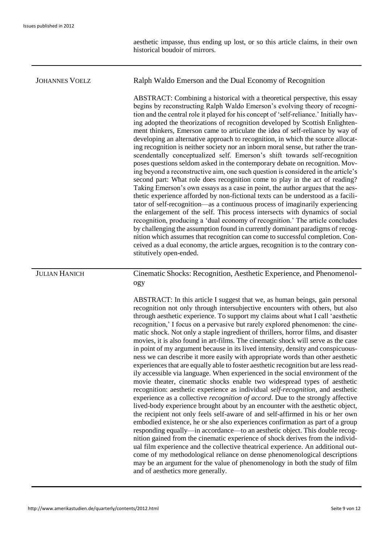aesthetic impasse, thus ending up lost, or so this article claims, in their own historical boudoir of mirrors.

# JOHANNES VOELZ Ralph Waldo Emerson and the Dual Economy of Recognition ABSTRACT: Combining a historical with a theoretical perspective, this essay begins by reconstructing Ralph Waldo Emerson's evolving theory of recognition and the central role it played for his concept of 'self-reliance.' Initially having adopted the theorizations of recognition developed by Scottish Enlightenment thinkers, Emerson came to articulate the idea of self-reliance by way of developing an alternative approach to recognition, in which the source allocating recognition is neither society nor an inborn moral sense, but rather the transcendentally conceptualized self. Emerson's shift towards self-recognition poses questions seldom asked in the contemporary debate on recognition. Moving beyond a reconstructive aim, one such question is considered in the article's second part: What role does recognition come to play in the act of reading? Taking Emerson's own essays as a case in point, the author argues that the aesthetic experience afforded by non-fictional texts can be understood as a facilitator of self-recognition—as a continuous process of imaginarily experiencing the enlargement of the self. This process intersects with dynamics of social recognition, producing a 'dual economy of recognition.' The article concludes by challenging the assumption found in currently dominant paradigms of recognition which assumes that recognition can come to successful completion. Conceived as a dual economy, the article argues, recognition is to the contrary constitutively open-ended. JULIAN HANICH Cinematic Shocks: Recognition, Aesthetic Experience, and Phenomenology ABSTRACT: In this article I suggest that we, as human beings, gain personal recognition not only through intersubjective encounters with others, but also through aesthetic experience. To support my claims about what I call 'aesthetic recognition,' I focus on a pervasive but rarely explored phenomenon: the cinematic shock. Not only a staple ingredient of thrillers, horror films, and disaster movies, it is also found in art-films. The cinematic shock will serve as the case in point of my argument because in its lived intensity, density and conspicuousness we can describe it more easily with appropriate words than other aesthetic experiences that are equally able to foster aesthetic recognition but are less readily accessible via language. When experienced in the social environment of the movie theater, cinematic shocks enable two widespread types of aesthetic recognition: aesthetic experience as individual *self-recognition*, and aesthetic experience as a collective *recognition of accord*. Due to the strongly affective lived-body experience brought about by an encounter with the aesthetic object, the recipient not only feels self-aware of and self-affirmed in his or her own embodied existence, he or she also experiences confirmation as part of a group responding equally—in accordance—to an aesthetic object. This double recognition gained from the cinematic experience of shock derives from the individual film experience and the collective theatrical experience. An additional outcome of my methodological reliance on dense phenomenological descriptions may be an argument for the value of phenomenology in both the study of film and of aesthetics more generally.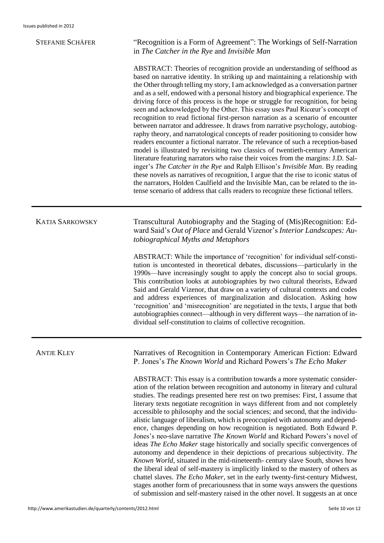| <b>STEFANIE SCHÄFER</b> | "Recognition is a Form of Agreement": The Workings of Self-Narration<br>in The Catcher in the Rye and Invisible Man                                                                                                                                                                                                                                                                                                                                                                                                                                                                                                                                                                                                                                                                                                                                                                                                                                                                                                                                                                                                                                                                                                                                                                                                                                                      |
|-------------------------|--------------------------------------------------------------------------------------------------------------------------------------------------------------------------------------------------------------------------------------------------------------------------------------------------------------------------------------------------------------------------------------------------------------------------------------------------------------------------------------------------------------------------------------------------------------------------------------------------------------------------------------------------------------------------------------------------------------------------------------------------------------------------------------------------------------------------------------------------------------------------------------------------------------------------------------------------------------------------------------------------------------------------------------------------------------------------------------------------------------------------------------------------------------------------------------------------------------------------------------------------------------------------------------------------------------------------------------------------------------------------|
|                         | ABSTRACT: Theories of recognition provide an understanding of selfhood as<br>based on narrative identity. In striking up and maintaining a relationship with<br>the Other through telling my story, I am acknowledged as a conversation partner<br>and as a self, endowed with a personal history and biographical experience. The<br>driving force of this process is the hope or struggle for recognition, for being<br>seen and acknowledged by the Other. This essay uses Paul Ricœur's concept of<br>recognition to read fictional first-person narration as a scenario of encounter<br>between narrator and addressee. It draws from narrative psychology, autobiog-<br>raphy theory, and narratological concepts of reader positioning to consider how<br>readers encounter a fictional narrator. The relevance of such a reception-based<br>model is illustrated by revisiting two classics of twentieth-century American<br>literature featuring narrators who raise their voices from the margins: J.D. Sal-<br>inger's The Catcher in the Rye and Ralph Ellison's Invisible Man. By reading<br>these novels as narratives of recognition, I argue that the rise to iconic status of<br>the narrators, Holden Caulfield and the Invisible Man, can be related to the in-<br>tense scenario of address that calls readers to recognize these fictional tellers. |
| <b>KATJA SARKOWSKY</b>  | Transcultural Autobiography and the Staging of (Mis)Recognition: Ed-<br>ward Said's Out of Place and Gerald Vizenor's Interior Landscapes: Au-<br>tobiographical Myths and Metaphors                                                                                                                                                                                                                                                                                                                                                                                                                                                                                                                                                                                                                                                                                                                                                                                                                                                                                                                                                                                                                                                                                                                                                                                     |
|                         | ABSTRACT: While the importance of 'recognition' for individual self-consti-<br>tution is uncontested in theoretical debates, discussions—particularly in the<br>1990s—have increasingly sought to apply the concept also to social groups.<br>This contribution looks at autobiographies by two cultural theorists, Edward<br>Said and Gerald Vizenor, that draw on a variety of cultural contexts and codes<br>and address experiences of marginalization and dislocation. Asking how<br>'recognition' and 'misrecognition' are negotiated in the texts, I argue that both<br>autobiographies connect—although in very different ways—the narration of in-<br>dividual self-constitution to claims of collective recognition.                                                                                                                                                                                                                                                                                                                                                                                                                                                                                                                                                                                                                                           |
| <b>ANTJE KLEY</b>       | Narratives of Recognition in Contemporary American Fiction: Edward<br>P. Jones's The Known World and Richard Powers's The Echo Maker                                                                                                                                                                                                                                                                                                                                                                                                                                                                                                                                                                                                                                                                                                                                                                                                                                                                                                                                                                                                                                                                                                                                                                                                                                     |
|                         | ABSTRACT: This essay is a contribution towards a more systematic consider-<br>ation of the relation between recognition and autonomy in literary and cultural<br>studies. The readings presented here rest on two premises: First, I assume that<br>literary texts negotiate recognition in ways different from and not completely<br>accessible to philosophy and the social sciences; and second, that the individu-<br>alistic language of liberalism, which is preoccupied with autonomy and depend-<br>ence, changes depending on how recognition is negotiated. Both Edward P.<br>Jones's neo-slave narrative The Known World and Richard Powers's novel of<br>ideas The Echo Maker stage historically and socially specific convergences of<br>autonomy and dependence in their depictions of precarious subjectivity. The<br>Known World, situated in the mid-nineteenth-century slave South, shows how<br>the liberal ideal of self-mastery is implicitly linked to the mastery of others as<br>chattel slaves. The Echo Maker, set in the early twenty-first-century Midwest,                                                                                                                                                                                                                                                                                  |

stages another form of precariousness that in some ways answers the questions of submission and self-mastery raised in the other novel. It suggests an at once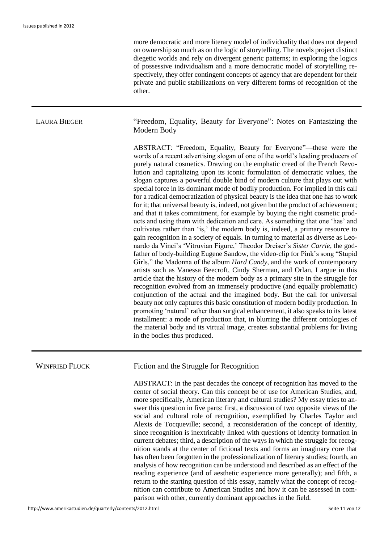more democratic and more literary model of individuality that does not depend on ownership so much as on the logic of storytelling. The novels project distinct diegetic worlds and rely on divergent generic patterns; in exploring the logics of possessive individualism and a more democratic model of storytelling respectively, they offer contingent concepts of agency that are dependent for their private and public stabilizations on very different forms of recognition of the other.

LAURA BIEGER "Freedom, Equality, Beauty for Everyone": Notes on Fantasizing the Modern Body

> ABSTRACT: "Freedom, Equality, Beauty for Everyone"—these were the words of a recent advertising slogan of one of the world's leading producers of purely natural cosmetics. Drawing on the emphatic creed of the French Revolution and capitalizing upon its iconic formulation of democratic values, the slogan captures a powerful double bind of modern culture that plays out with special force in its dominant mode of bodily production. For implied in this call for a radical democratization of physical beauty is the idea that one has to work for it; that universal beauty is, indeed, not given but the product of achievement; and that it takes commitment, for example by buying the right cosmetic products and using them with dedication and care. As something that one 'has' and cultivates rather than 'is,' the modern body is, indeed, a primary resource to gain recognition in a society of equals. In turning to material as diverse as Leonardo da Vinci's 'Vitruvian Figure,' Theodor Dreiser's *Sister Carrie*, the godfather of body-building Eugene Sandow, the video-clip for Pink's song "Stupid Girls," the Madonna of the album *Hard Candy*, and the work of contemporary artists such as Vanessa Beecroft, Cindy Sherman, and Orlan, I argue in this article that the history of the modern body as a primary site in the struggle for recognition evolved from an immensely productive (and equally problematic) conjunction of the actual and the imagined body. But the call for universal beauty not only captures this basic constitution of modern bodily production. In promoting 'natural' rather than surgical enhancement, it also speaks to its latest installment: a mode of production that, in blurring the different ontologies of the material body and its virtual image, creates substantial problems for living in the bodies thus produced.

WINFRIED FLUCK Fiction and the Struggle for Recognition

ABSTRACT: In the past decades the concept of recognition has moved to the center of social theory. Can this concept be of use for American Studies, and, more specifically, American literary and cultural studies? My essay tries to answer this question in five parts: first, a discussion of two opposite views of the social and cultural role of recognition, exemplified by Charles Taylor and Alexis de Tocqueville; second, a reconsideration of the concept of identity, since recognition is inextricably linked with questions of identity formation in current debates; third, a description of the ways in which the struggle for recognition stands at the center of fictional texts and forms an imaginary core that has often been forgotten in the professionalization of literary studies; fourth, an analysis of how recognition can be understood and described as an effect of the reading experience (and of aesthetic experience more generally); and fifth, a return to the starting question of this essay, namely what the concept of recognition can contribute to American Studies and how it can be assessed in comparison with other, currently dominant approaches in the field.